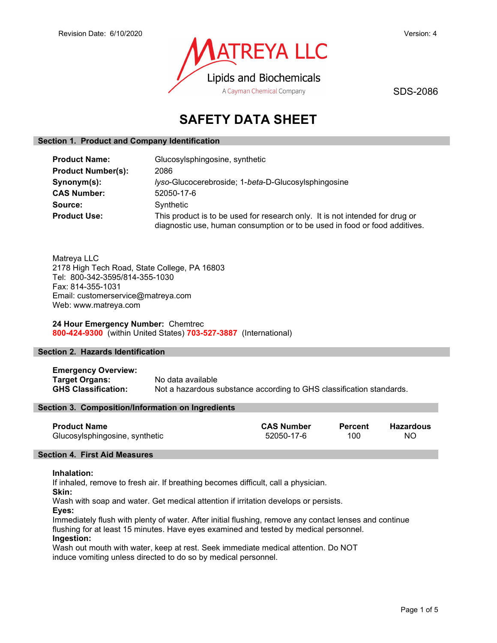

SDS-2086

# SAFETY DATA SHEET

# Section 1. Product and Company Identification

| <b>Product Name:</b>      | Glucosylsphingosine, synthetic                                                                                                                             |  |
|---------------------------|------------------------------------------------------------------------------------------------------------------------------------------------------------|--|
| <b>Product Number(s):</b> | 2086                                                                                                                                                       |  |
| Synonym(s):               | lyso-Glucocerebroside; 1-beta-D-Glucosylsphingosine                                                                                                        |  |
| <b>CAS Number:</b>        | 52050-17-6                                                                                                                                                 |  |
| Source:                   | Synthetic                                                                                                                                                  |  |
| <b>Product Use:</b>       | This product is to be used for research only. It is not intended for drug or<br>diagnostic use, human consumption or to be used in food or food additives. |  |

Matreya LLC 2178 High Tech Road, State College, PA 16803 Tel: 800-342-3595/814-355-1030 Fax: 814-355-1031 Email: customerservice@matreya.com Web: www.matreya.com

24 Hour Emergency Number: Chemtrec 800-424-9300 (within United States) 703-527-3887 (International)

# Section 2. Hazards Identification

Emergency Overview: Target Organs: No data available GHS Classification: Not a hazardous substance according to GHS classification standards.

# Section 3. Composition/Information on Ingredients

| <b>Product Name</b>            | <b>CAS Number</b> | Percent | Hazardous |
|--------------------------------|-------------------|---------|-----------|
| Glucosylsphingosine, synthetic | 52050-17-6        | 100     | NΟ        |

# Section 4. First Aid Measures

# Inhalation:

If inhaled, remove to fresh air. If breathing becomes difficult, call a physician.

Skin:

Wash with soap and water. Get medical attention if irritation develops or persists.

Eyes:

Immediately flush with plenty of water. After initial flushing, remove any contact lenses and continue flushing for at least 15 minutes. Have eyes examined and tested by medical personnel. Ingestion:

Wash out mouth with water, keep at rest. Seek immediate medical attention. Do NOT induce vomiting unless directed to do so by medical personnel.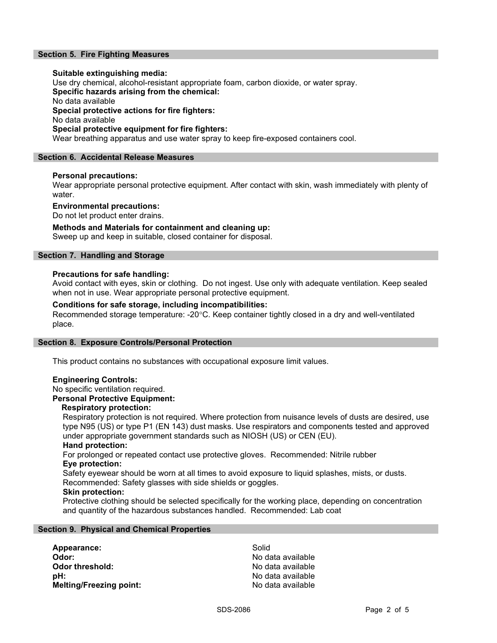# Section 5. Fire Fighting Measures

# Suitable extinguishing media:

Use dry chemical, alcohol-resistant appropriate foam, carbon dioxide, or water spray. Specific hazards arising from the chemical: No data available Special protective actions for fire fighters: No data available Special protective equipment for fire fighters: Wear breathing apparatus and use water spray to keep fire-exposed containers cool.

# Section 6. Accidental Release Measures

# Personal precautions:

Wear appropriate personal protective equipment. After contact with skin, wash immediately with plenty of water.

# Environmental precautions:

Do not let product enter drains.

# Methods and Materials for containment and cleaning up:

Sweep up and keep in suitable, closed container for disposal.

# Section 7. Handling and Storage

# Precautions for safe handling:

Avoid contact with eyes, skin or clothing. Do not ingest. Use only with adequate ventilation. Keep sealed when not in use. Wear appropriate personal protective equipment.

# Conditions for safe storage, including incompatibilities:

Recommended storage temperature: -20°C. Keep container tightly closed in a dry and well-ventilated place.

# Section 8. Exposure Controls/Personal Protection

This product contains no substances with occupational exposure limit values.

# Engineering Controls:

# No specific ventilation required.

Personal Protective Equipment:

# Respiratory protection:

Respiratory protection is not required. Where protection from nuisance levels of dusts are desired, use type N95 (US) or type P1 (EN 143) dust masks. Use respirators and components tested and approved under appropriate government standards such as NIOSH (US) or CEN (EU).

#### Hand protection:

For prolonged or repeated contact use protective gloves. Recommended: Nitrile rubber Eye protection:

Safety eyewear should be worn at all times to avoid exposure to liquid splashes, mists, or dusts. Recommended: Safety glasses with side shields or goggles.

# Skin protection:

Protective clothing should be selected specifically for the working place, depending on concentration and quantity of the hazardous substances handled. Recommended: Lab coat

# Section 9. Physical and Chemical Properties

Appearance: Solid Odor: No data available **Odor threshold:** No data available pH:  $P$  and  $P$  and  $P$  are  $P$  and  $P$  and  $P$  are  $P$  and  $P$  are  $P$  and  $P$  and  $P$  and  $P$  are  $P$  and  $P$  and  $P$  and  $P$  and  $P$  and  $P$  and  $P$  and  $P$  and  $P$  and  $P$  and  $P$  and  $P$  and  $P$  and  $P$  and  $P$  and  $P$ Melting/Freezing point: No data available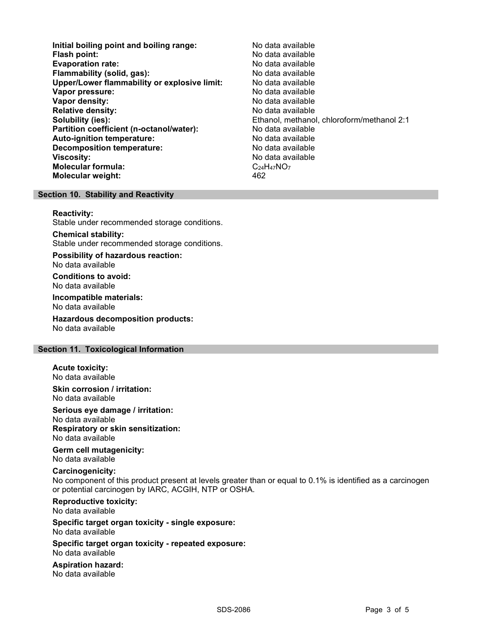Initial boiling point and boiling range: No data available Flash point: No data available Evaporation rate: Flammability (solid, gas): No data available Upper/Lower flammability or explosive limit: No data available **Vapor pressure:** No data available **No data available Vapor density:** No data available in the set of the North Modern Available in the North Available in the North Available in the North Available in the North Available in the North Available in the North Available in the N Relative density: No data available Solubility (ies): Ethanol, methanol, chloroform/methanol 2:1 Partition coefficient (n-octanol/water): No data available<br>
Auto-ignition temperature: No data available Auto-ignition temperature: Decomposition temperature: No data available **Viscosity:** No data available and the set of the set of the set of the set of the set of the set of the set of the set of the set of the set of the set of the set of the set of the set of the set of the set of the set of Molecular formula:  $C_{24}H_{47}NO_7$ Molecular weight: 462

# Section 10. Stability and Reactivity

#### Reactivity:

Stable under recommended storage conditions.

Chemical stability: Stable under recommended storage conditions.

Possibility of hazardous reaction: No data available

Conditions to avoid: No data available

Incompatible materials: No data available

Hazardous decomposition products: No data available

# Section 11. Toxicological Information

Acute toxicity: No data available

Skin corrosion / irritation: No data available

Serious eye damage / irritation: No data available Respiratory or skin sensitization:

No data available

Germ cell mutagenicity: No data available

# Carcinogenicity:

No component of this product present at levels greater than or equal to 0.1% is identified as a carcinogen or potential carcinogen by IARC, ACGIH, NTP or OSHA.

# Reproductive toxicity:

No data available

#### Specific target organ toxicity - single exposure: No data available

Specific target organ toxicity - repeated exposure: No data available

Aspiration hazard:

No data available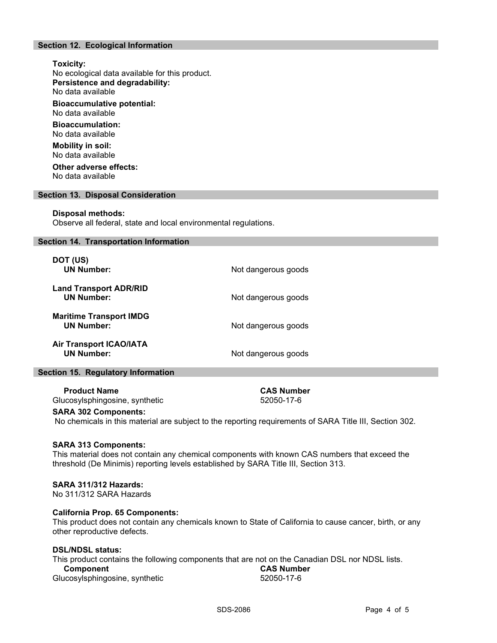# Section 12. Ecological Information

# Toxicity:

No ecological data available for this product. Persistence and degradability:

No data available

Bioaccumulative potential: No data available

Bioaccumulation: No data available

Mobility in soil: No data available

Other adverse effects: No data available

# Section 13. Disposal Consideration

#### Disposal methods:

Observe all federal, state and local environmental regulations.

#### Section 14. Transportation Information

| DOT (US)<br><b>UN Number:</b>                       | Not dangerous goods |
|-----------------------------------------------------|---------------------|
| <b>Land Transport ADR/RID</b><br><b>UN Number:</b>  | Not dangerous goods |
| <b>Maritime Transport IMDG</b><br><b>UN Number:</b> | Not dangerous goods |
| <b>Air Transport ICAO/IATA</b><br><b>UN Number:</b> | Not dangerous goods |

# Section 15. Regulatory Information

Product Name CAS Number

Glucosylsphingosine, synthetic 52050-17-6

# SARA 302 Components:

No chemicals in this material are subject to the reporting requirements of SARA Title III, Section 302.

# SARA 313 Components:

This material does not contain any chemical components with known CAS numbers that exceed the threshold (De Minimis) reporting levels established by SARA Title III, Section 313.

# SARA 311/312 Hazards:

No 311/312 SARA Hazards

# California Prop. 65 Components:

This product does not contain any chemicals known to State of California to cause cancer, birth, or any other reproductive defects.

# DSL/NDSL status:

This product contains the following components that are not on the Canadian DSL nor NDSL lists.<br>Component **Component** Glucosylsphingosine, synthetic 52050-17-6